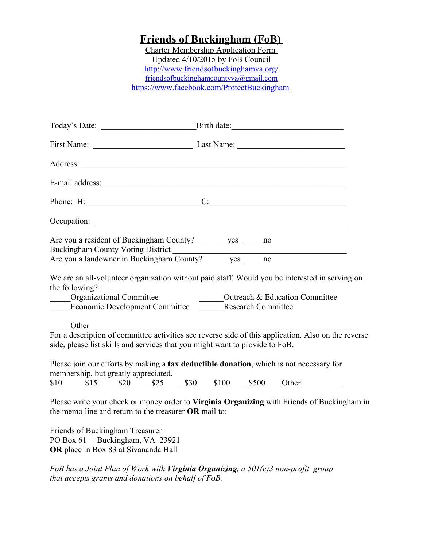## **Friends of Buckingham (FoB)**

Charter Membership Application Form Updated 4/10/2015 by FoB Council <http://www.friendsofbuckinghamva.org/> friendsofbuckinghamcountyva@gmail.com <https://www.facebook.com/ProtectBuckingham>

|                                                                                                                                                                             | First Name: Last Name: Last Name:                                                                   |
|-----------------------------------------------------------------------------------------------------------------------------------------------------------------------------|-----------------------------------------------------------------------------------------------------|
|                                                                                                                                                                             |                                                                                                     |
| E-mail address:                                                                                                                                                             |                                                                                                     |
|                                                                                                                                                                             | Phone: H: $\qquad \qquad \qquad C:$                                                                 |
|                                                                                                                                                                             |                                                                                                     |
| Are you a resident of Buckingham County? _________ yes ______ no                                                                                                            |                                                                                                     |
| the following?:<br>_____Organizational Committee<br>Organizational Committee Committee Coutreach & Education Committee<br>Economic Development Committee Research Committee | We are an all-volunteer organization without paid staff. Would you be interested in serving on      |
| Other<br>side, please list skills and services that you might want to provide to FoB.                                                                                       | For a description of committee activities see reverse side of this application. Also on the reverse |
| membership, but greatly appreciated.                                                                                                                                        | Please join our efforts by making a tax deductible donation, which is not necessary for             |
|                                                                                                                                                                             | $$10$ $$15$ $$20$ $$25$ $$30$ $$100$ $$500$ Other                                                   |
| the memo line and return to the treasurer OR mail to:                                                                                                                       | Please write your check or money order to Virginia Organizing with Friends of Buckingham in         |
| Friends of Buckingham Treasurer<br>PO Box 61 Buckingham, VA 23921<br>OR place in Box 83 at Sivananda Hall                                                                   |                                                                                                     |

*FoB has a Joint Plan of Work with Virginia Organizing, a 501(c)3 non-profit group that accepts grants and donations on behalf of FoB.*